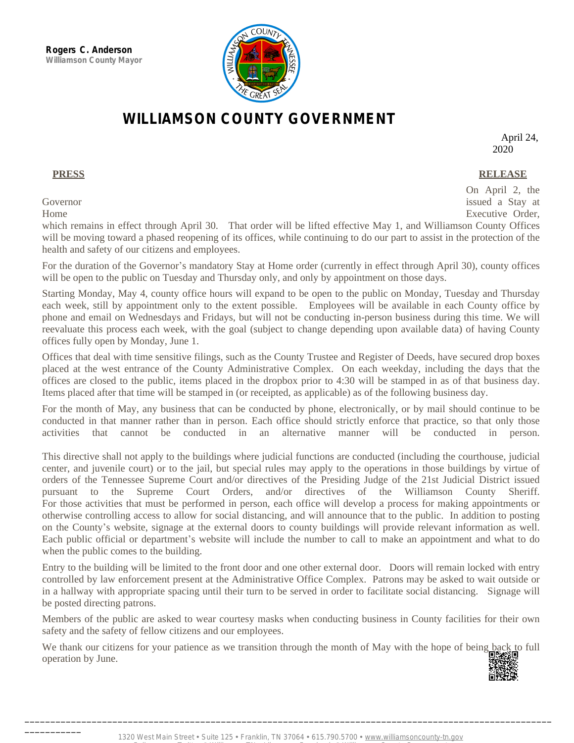\_\_\_\_\_\_\_\_\_\_\_



## **WILLIAMSON COUNTY GOVERNMENT**

April 24, 2020

## **PRESS RELEASE**

On April 2, the

Governor issued a Stay at the Stay at the Governor issued a Stay at the Stay at the Stay at the Stay at the Stay at the Stay at the Stay at the Stay at the Stay at the Stay at the Stay at the Stay at the Stay at the Stay a Home Executive Order,

which remains in effect through April 30. That order will be lifted effective May 1, and Williamson County Offices will be moving toward a phased reopening of its offices, while continuing to do our part to assist in the protection of the health and safety of our citizens and employees.

For the duration of the Governor's mandatory Stay at Home order (currently in effect through April 30), county offices will be open to the public on Tuesday and Thursday only, and only by appointment on those days.

Starting Monday, May 4, county office hours will expand to be open to the public on Monday, Tuesday and Thursday each week, still by appointment only to the extent possible. Employees will be available in each County office by phone and email on Wednesdays and Fridays, but will not be conducting in-person business during this time. We will reevaluate this process each week, with the goal (subject to change depending upon available data) of having County offices fully open by Monday, June 1.

Offices that deal with time sensitive filings, such as the County Trustee and Register of Deeds, have secured drop boxes placed at the west entrance of the County Administrative Complex. On each weekday, including the days that the offices are closed to the public, items placed in the dropbox prior to 4:30 will be stamped in as of that business day. Items placed after that time will be stamped in (or receipted, as applicable) as of the following business day.

For the month of May, any business that can be conducted by phone, electronically, or by mail should continue to be conducted in that manner rather than in person. Each office should strictly enforce that practice, so that only those activities that cannot be conducted in an alternative manner will be conducted in person.

This directive shall not apply to the buildings where judicial functions are conducted (including the courthouse, judicial center, and juvenile court) or to the jail, but special rules may apply to the operations in those buildings by virtue of orders of the Tennessee Supreme Court and/or directives of the Presiding Judge of the 21st Judicial District issued pursuant to the Supreme Court Orders, and/or directives of the Williamson County Sheriff. For those activities that must be performed in person, each office will develop a process for making appointments or otherwise controlling access to allow for social distancing, and will announce that to the public. In addition to posting on the County's website, signage at the external doors to county buildings will provide relevant information as well. Each public official or department's website will include the number to call to make an appointment and what to do when the public comes to the building.

Entry to the building will be limited to the front door and one other external door. Doors will remain locked with entry controlled by law enforcement present at the Administrative Office Complex. Patrons may be asked to wait outside or in a hallway with appropriate spacing until their turn to be served in order to facilitate social distancing. Signage will be posted directing patrons.

Members of the public are asked to wear courtesy masks when conducting business in County facilities for their own safety and the safety of fellow citizens and our employees.

We thank our citizens for your patience as we transition through the month of May with the hope of being back to full operation by June.



\_\_\_\_\_\_\_\_\_\_\_\_\_\_\_\_\_\_\_\_\_\_\_\_\_\_\_\_\_\_\_\_\_\_\_\_\_\_\_\_\_\_\_\_\_\_\_\_\_\_\_\_\_\_\_\_\_\_\_\_\_\_\_\_\_\_\_\_\_\_\_\_\_\_\_\_\_\_\_\_\_\_\_\_\_\_\_\_\_\_\_\_\_\_\_\_\_\_\_\_\_\_